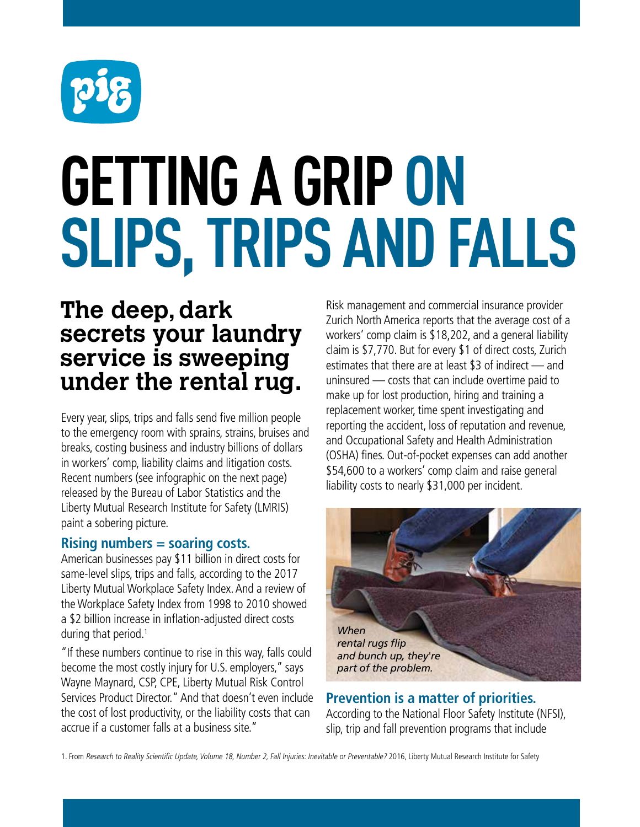

# **GETTING A GRIP ON SLIPS, TRIPS AND FALLS**

# **The deep, dark secrets your laundry service is sweeping under the rental rug.**

Every year, slips, trips and falls send five million people to the emergency room with sprains, strains, bruises and breaks, costing business and industry billions of dollars in workers' comp, liability claims and litigation costs. Recent numbers (see infographic on the next page) released by the Bureau of Labor Statistics and the Liberty Mutual Research Institute for Safety (LMRIS) paint a sobering picture.

#### **Rising numbers = soaring costs.**

American businesses pay \$11 billion in direct costs for same-level slips, trips and falls, according to the 2017 Liberty Mutual Workplace Safety Index. And a review of the Workplace Safety Index from 1998 to 2010 showed a \$2 billion increase in inflation-adjusted direct costs during that period.<sup>1</sup>

"If these numbers continue to rise in this way, falls could become the most costly injury for U.S. employers," says Wayne Maynard, CSP, CPE, Liberty Mutual Risk Control Services Product Director." And that doesn't even include the cost of lost productivity, or the liability costs that can accrue if a customer falls at a business site."

Risk management and commercial insurance provider Zurich North America reports that the average cost of a workers' comp claim is \$18,202, and a general liability claim is \$7,770. But for every \$1 of direct costs, Zurich estimates that there are at least \$3 of indirect — and uninsured — costs that can include overtime paid to make up for lost production, hiring and training a replacement worker, time spent investigating and reporting the accident, loss of reputation and revenue, and Occupational Safety and Health Administration (OSHA) fines. Out-of-pocket expenses can add another \$54,600 to a workers' comp claim and raise general liability costs to nearly \$31,000 per incident.



**Prevention is a matter of priorities.** According to the National Floor Safety Institute (NFSI), slip, trip and fall prevention programs that include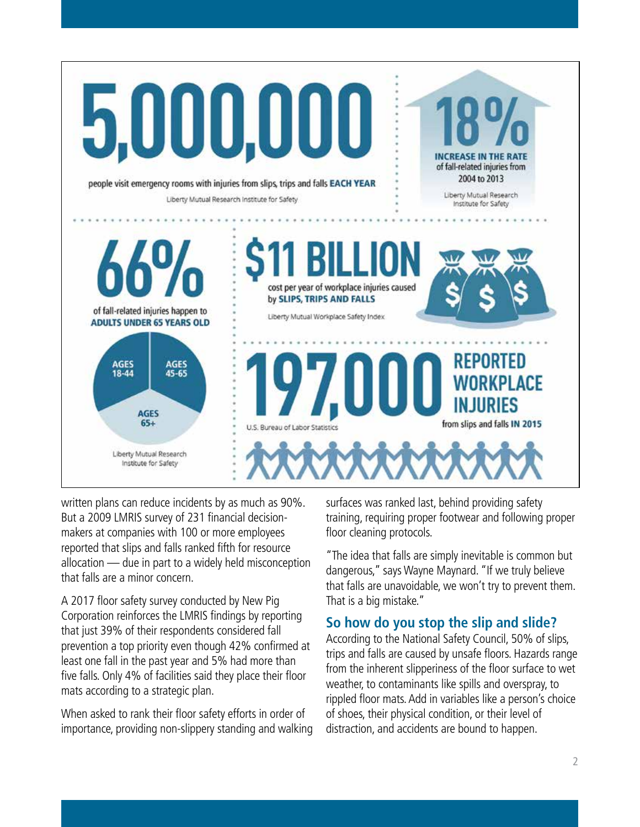

written plans can reduce incidents by as much as 90%. But a 2009 LMRIS survey of 231 financial decisionmakers at companies with 100 or more employees reported that slips and falls ranked fifth for resource allocation — due in part to a widely held misconception that falls are a minor concern.

A 2017 floor safety survey conducted by New Pig Corporation reinforces the LMRIS findings by reporting that just 39% of their respondents considered fall prevention a top priority even though 42% confirmed at least one fall in the past year and 5% had more than five falls. Only 4% of facilities said they place their floor mats according to a strategic plan.

When asked to rank their floor safety efforts in order of importance, providing non-slippery standing and walking surfaces was ranked last, behind providing safety training, requiring proper footwear and following proper floor cleaning protocols.

"The idea that falls are simply inevitable is common but dangerous," says Wayne Maynard. "If we truly believe that falls are unavoidable, we won't try to prevent them. That is a big mistake."

#### **So how do you stop the slip and slide?**

According to the National Safety Council, 50% of slips, trips and falls are caused by unsafe floors. Hazards range from the inherent slipperiness of the floor surface to wet weather, to contaminants like spills and overspray, to rippled floor mats. Add in variables like a person's choice of shoes, their physical condition, or their level of distraction, and accidents are bound to happen.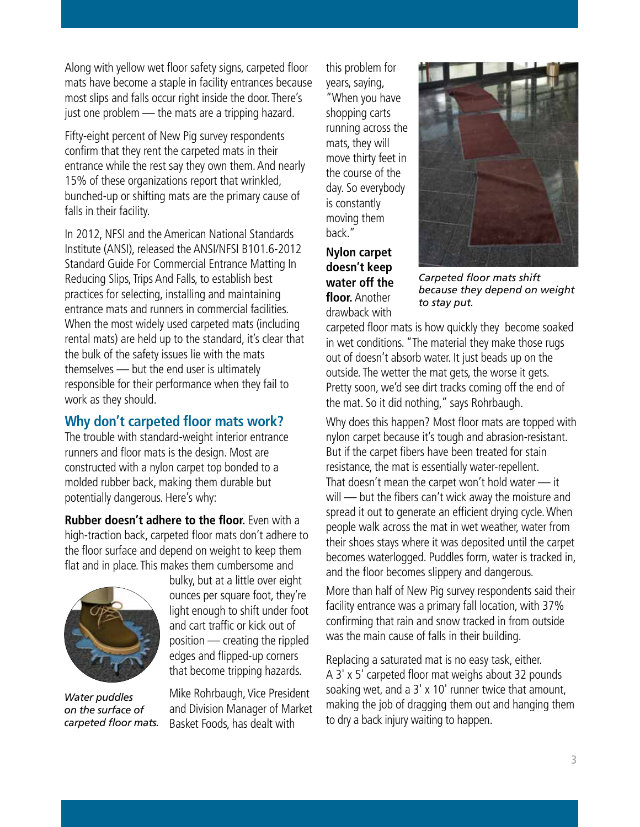Along with yellow wet floor safety signs, carpeted floor mats have become a staple in facility entrances because most slips and falls occur right inside the door. There's just one problem - the mats are a tripping hazard.

Fifty-eight percent of New Pig survey respondents confirm that they rent the carpeted mats in their entrance while the rest say they own them. And nearly 15% of these organizations report that wrinkled, bunched-up or shifting mats are the primary cause of falls in their facility.

In 2012, NFSI and the American National Standards Institute (ANSI), released the ANSI/NFSI B101.6-2012 Standard Guide For Commercial Entrance Matting In Reducing Slips, Trips And Falls, to establish best practices for selecting, installing and maintaining entrance mats and runners in commercial facilities. When the most widely used carpeted mats (including rental mats) are held up to the standard, it's clear that the bulk of the safety issues lie with the mats themselves — but the end user is ultimately responsible for their performance when they fail to work as they should.

# **Why don't carpeted floor mats work?**

The trouble with standard-weight interior entrance runners and floor mats is the design. Most are constructed with a nylon carpet top bonded to a molded rubber back, making them durable but potentially dangerous. Here's why:

**Rubber doesn't adhere to the floor.** Even with a high-traction back, carpeted floor mats don't adhere to the floor surface and depend on weight to keep them flat and in place. This makes them cumbersome and



*Water puddles on the surface of carpeted floor mats.*

bulky, but at a little over eight ounces per square foot, they're light enough to shift under foot and cart traffic or kick out of position — creating the rippled edges and flipped-up corners that become tripping hazards.

Mike Rohrbaugh, Vice President and Division Manager of Market Basket Foods, has dealt with

this problem for years, saying, "When you have shopping carts running across the mats, they will move thirty feet in the course of the day. So everybody is constantly moving them back."

**Nylon carpet doesn't keep water off the floor.** Another drawback with



*Carpeted floor mats shift because they depend on weight to stay put.*

carpeted floor mats is how quickly they become soaked in wet conditions. "The material they make those rugs out of doesn't absorb water. It just beads up on the outside. The wetter the mat gets, the worse it gets. Pretty soon, we'd see dirt tracks coming off the end of the mat. So it did nothing," says Rohrbaugh.

Why does this happen? Most floor mats are topped with nylon carpet because it's tough and abrasion-resistant. But if the carpet fibers have been treated for stain resistance, the mat is essentially water-repellent. That doesn't mean the carpet won't hold water — it will — but the fibers can't wick away the moisture and spread it out to generate an efficient drying cycle. When people walk across the mat in wet weather, water from their shoes stays where it was deposited until the carpet becomes waterlogged. Puddles form, water is tracked in, and the floor becomes slippery and dangerous.

More than half of New Pig survey respondents said their facility entrance was a primary fall location, with 37% confirming that rain and snow tracked in from outside was the main cause of falls in their building.

Replacing a saturated mat is no easy task, either. A 3' x 5' carpeted floor mat weighs about 32 pounds soaking wet, and a 3' x 10' runner twice that amount, making the job of dragging them out and hanging them to dry a back injury waiting to happen.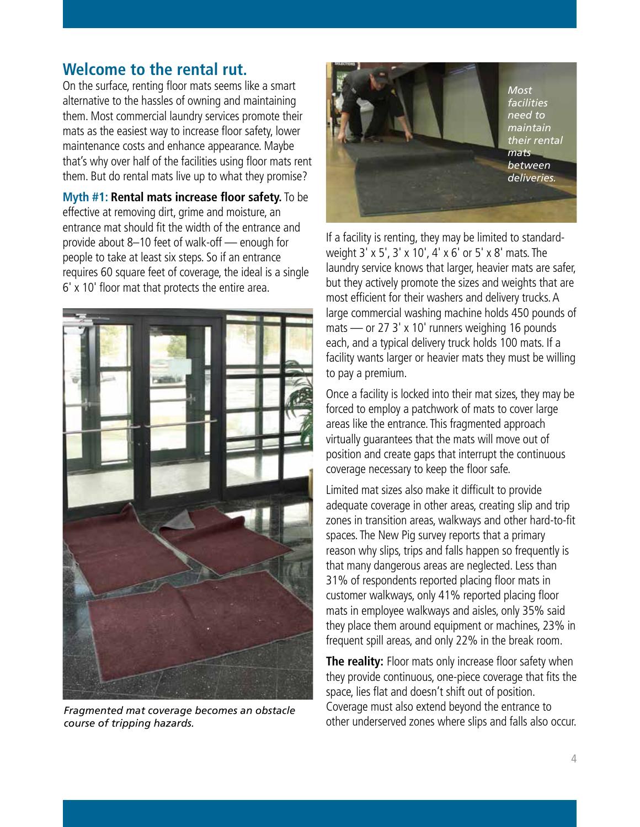# **Welcome to the rental rut.**

On the surface, renting floor mats seems like a smart alternative to the hassles of owning and maintaining them. Most commercial laundry services promote their mats as the easiest way to increase floor safety, lower maintenance costs and enhance appearance. Maybe that's why over half of the facilities using floor mats rent them. But do rental mats live up to what they promise?

**Myth #1: Rental mats increase floor safety.** To be effective at removing dirt, grime and moisture, an entrance mat should fit the width of the entrance and provide about 8–10 feet of walk-off — enough for people to take at least six steps. So if an entrance requires 60 square feet of coverage, the ideal is a single 6' x 10' floor mat that protects the entire area.



*Fragmented mat coverage becomes an obstacle course of tripping hazards.*



If a facility is renting, they may be limited to standardweight 3' x 5', 3' x 10', 4' x 6' or 5' x 8' mats. The laundry service knows that larger, heavier mats are safer, but they actively promote the sizes and weights that are most efficient for their washers and delivery trucks. A large commercial washing machine holds 450 pounds of mats — or 27 3' x 10' runners weighing 16 pounds each, and a typical delivery truck holds 100 mats. If a facility wants larger or heavier mats they must be willing to pay a premium.

Once a facility is locked into their mat sizes, they may be forced to employ a patchwork of mats to cover large areas like the entrance. This fragmented approach virtually guarantees that the mats will move out of position and create gaps that interrupt the continuous coverage necessary to keep the floor safe.

Limited mat sizes also make it difficult to provide adequate coverage in other areas, creating slip and trip zones in transition areas, walkways and other hard-to-fit spaces. The New Pig survey reports that a primary reason why slips, trips and falls happen so frequently is that many dangerous areas are neglected. Less than 31% of respondents reported placing floor mats in customer walkways, only 41% reported placing floor mats in employee walkways and aisles, only 35% said they place them around equipment or machines, 23% in frequent spill areas, and only 22% in the break room.

**The reality:** Floor mats only increase floor safety when they provide continuous, one-piece coverage that fits the space, lies flat and doesn't shift out of position. Coverage must also extend beyond the entrance to other underserved zones where slips and falls also occur.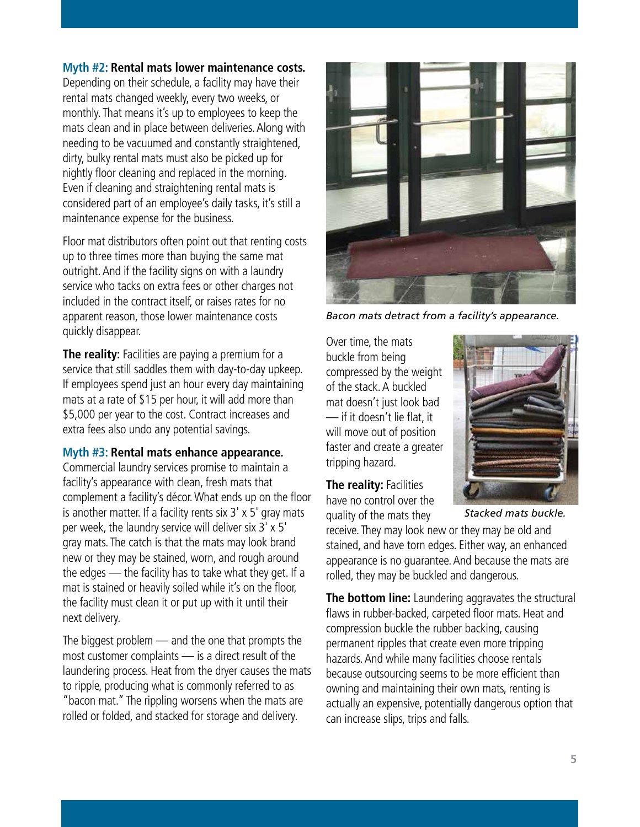#### **Myth #2: Rental mats lower maintenance costs.**

Depending on their schedule, a facility may have their rental mats changed weekly, every two weeks, or monthly. That means it's up to employees to keep the mats clean and in place between deliveries. Along with needing to be vacuumed and constantly straightened, dirty, bulky rental mats must also be picked up for nightly floor cleaning and replaced in the morning. Even if cleaning and straightening rental mats is considered part of an employee's daily tasks, it's still a maintenance expense for the business.

Floor mat distributors often point out that renting costs up to three times more than buying the same mat outright. And if the facility signs on with a laundry service who tacks on extra fees or other charges not included in the contract itself, or raises rates for no apparent reason, those lower maintenance costs quickly disappear.

**The reality:** Facilities are paying a premium for a service that still saddles them with day-to-day upkeep. If employees spend just an hour every day maintaining mats at a rate of \$15 per hour, it will add more than \$5,000 per year to the cost. Contract increases and extra fees also undo any potential savings.

#### **Myth #3: Rental mats enhance appearance.**

Commercial laundry services promise to maintain a facility's appearance with clean, fresh mats that complement a facility's décor. What ends up on the floor is another matter. If a facility rents six 3' x 5' gray mats per week, the laundry service will deliver six 3' x 5' gray mats. The catch is that the mats may look brand new or they may be stained, worn, and rough around the edges — the facility has to take what they get. If a mat is stained or heavily soiled while it's on the floor, the facility must clean it or put up with it until their next delivery.

The biggest problem — and the one that prompts the most customer complaints — is a direct result of the laundering process. Heat from the dryer causes the mats to ripple, producing what is commonly referred to as "bacon mat." The rippling worsens when the mats are rolled or folded, and stacked for storage and delivery.



*Bacon mats detract from a facility's appearance.*

Over time, the mats buckle from being compressed by the weight of the stack. A buckled mat doesn't just look bad — if it doesn't lie flat, it will move out of position faster and create a greater tripping hazard.



**The reality: Facilities** have no control over the quality of the mats they

*Stacked mats buckle.*

receive. They may look new or they may be old and stained, and have torn edges. Either way, an enhanced appearance is no guarantee. And because the mats are rolled, they may be buckled and dangerous.

**The bottom line:** Laundering aggravates the structural flaws in rubber-backed, carpeted floor mats. Heat and compression buckle the rubber backing, causing permanent ripples that create even more tripping hazards. And while many facilities choose rentals because outsourcing seems to be more efficient than owning and maintaining their own mats, renting is actually an expensive, potentially dangerous option that can increase slips, trips and falls.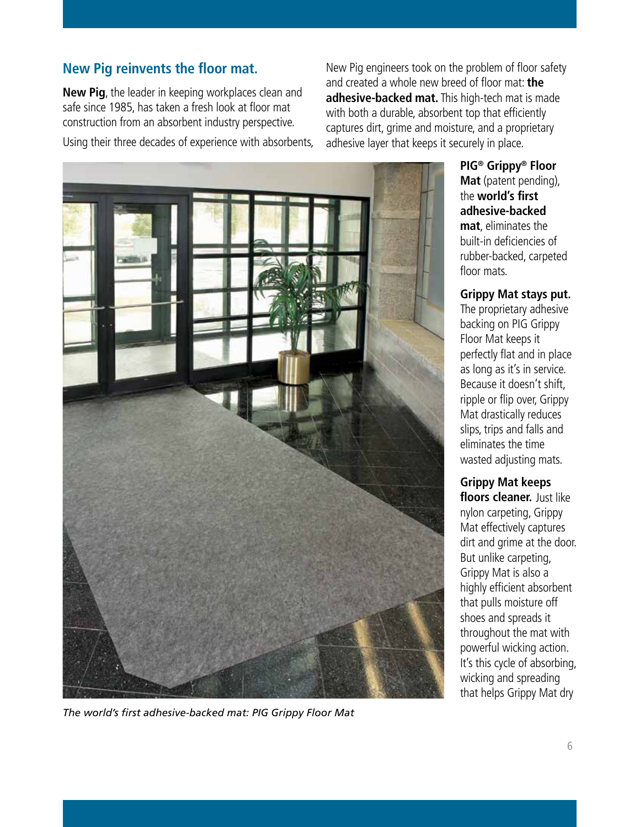# **New Pig reinvents the floor mat.**

**New Pig**, the leader in keeping workplaces clean and safe since 1985, has taken a fresh look at floor mat construction from an absorbent industry perspective. Using their three decades of experience with absorbents,

New Pig engineers took on the problem of floor safety and created a whole new breed of floor mat: **the adhesive-backed mat.** This high-tech mat is made with both a durable, absorbent top that efficiently captures dirt, grime and moisture, and a proprietary adhesive layer that keeps it securely in place.



*The world's first adhesive-backed mat: PIG Grippy Floor Mat*

**PIG® Grippy® Floor Mat** (patent pending), the **world's first adhesive-backed mat**, eliminates the built-in deficiencies of rubber-backed, carpeted floor mats.

**Grippy Mat stays put.** The proprietary adhesive backing on PIG Grippy Floor Mat keeps it perfectly flat and in place as long as it's in service. Because it doesn't shift, ripple or flip over, Grippy Mat drastically reduces slips, trips and falls and eliminates the time wasted adjusting mats.

**Grippy Mat keeps floors cleaner.** Just like nylon carpeting, Grippy Mat effectively captures dirt and grime at the door. But unlike carpeting, Grippy Mat is also a highly efficient absorbent that pulls moisture off shoes and spreads it throughout the mat with powerful wicking action. It's this cycle of absorbing, wicking and spreading that helps Grippy Mat dry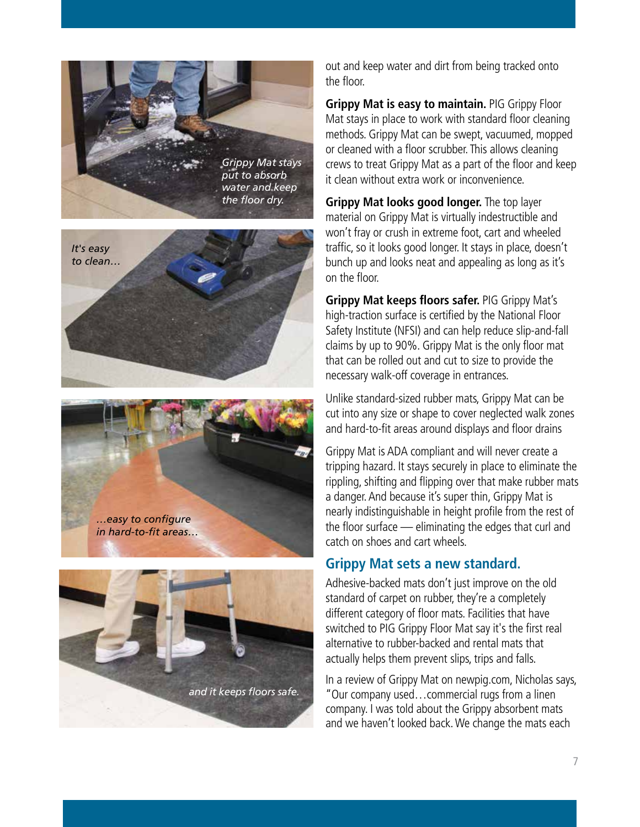







out and keep water and dirt from being tracked onto the floor.

**Grippy Mat is easy to maintain.** PIG Grippy Floor Mat stays in place to work with standard floor cleaning methods. Grippy Mat can be swept, vacuumed, mopped or cleaned with a floor scrubber. This allows cleaning crews to treat Grippy Mat as a part of the floor and keep it clean without extra work or inconvenience.

**Grippy Mat looks good longer.** The top layer material on Grippy Mat is virtually indestructible and won't fray or crush in extreme foot, cart and wheeled traffic, so it looks good longer. It stays in place, doesn't bunch up and looks neat and appealing as long as it's on the floor.

**Grippy Mat keeps floors safer.** PIG Grippy Mat's high-traction surface is certified by the National Floor Safety Institute (NFSI) and can help reduce slip-and-fall claims by up to 90%. Grippy Mat is the only floor mat that can be rolled out and cut to size to provide the necessary walk-off coverage in entrances.

Unlike standard-sized rubber mats, Grippy Mat can be cut into any size or shape to cover neglected walk zones and hard-to-fit areas around displays and floor drains

Grippy Mat is ADA compliant and will never create a tripping hazard. It stays securely in place to eliminate the rippling, shifting and flipping over that make rubber mats a danger. And because it's super thin, Grippy Mat is nearly indistinguishable in height profile from the rest of the floor surface — eliminating the edges that curl and catch on shoes and cart wheels.

# **Grippy Mat sets a new standard.**

Adhesive-backed mats don't just improve on the old standard of carpet on rubber, they're a completely different category of floor mats. Facilities that have switched to PIG Grippy Floor Mat say it's the first real alternative to rubber-backed and rental mats that actually helps them prevent slips, trips and falls.

In a review of Grippy Mat on newpig.com, Nicholas says, "Our company used…commercial rugs from a linen company. I was told about the Grippy absorbent mats and we haven't looked back. We change the mats each